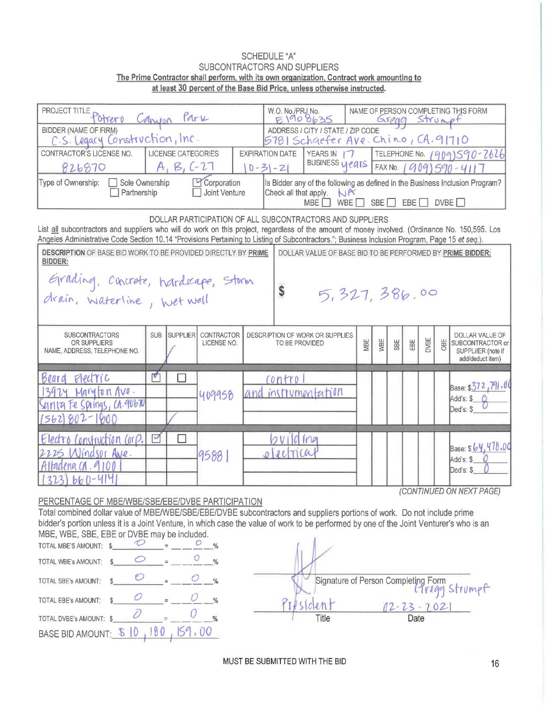## **SCHEDULE "A"** SUBCONTRACTORS AND SUPPLIERS The Prime Contractor shall perform, with its own organization, Contract work amounting to at least 30 percent of the Base Bid Price, unless otherwise instructed.

| PROJECT TITLE POTTETO Canyon<br>Park                                                                                                                                                                                                                                                                                                                          |                                              |                                         |                                                           | NAME OF PERSON COMPLETING THIS FORM<br>W.O. No./PRJ No.<br>E1908635<br>Greag Strumpt                                                              |                                                       |     |     |     |                    |                                                                                      |  |  |
|---------------------------------------------------------------------------------------------------------------------------------------------------------------------------------------------------------------------------------------------------------------------------------------------------------------------------------------------------------------|----------------------------------------------|-----------------------------------------|-----------------------------------------------------------|---------------------------------------------------------------------------------------------------------------------------------------------------|-------------------------------------------------------|-----|-----|-----|--------------------|--------------------------------------------------------------------------------------|--|--|
| BIDDER (NAME OF FIRM)<br>C.S. Legacy Construction, Inc.                                                                                                                                                                                                                                                                                                       |                                              |                                         |                                                           | ADDRESS / CITY / STATE / ZIP CODE<br>5781 Schaefer Ave. Chino, CA.91710                                                                           |                                                       |     |     |     |                    |                                                                                      |  |  |
| CONTRACTOR'S LICENSE NO.<br>826870                                                                                                                                                                                                                                                                                                                            | LICENSE CATEGORIES<br>$A$ , $B$ , $C-27$     | <b>EXPIRATION DATE</b><br>$0 - 31 - 21$ |                                                           | YEARS IN 17<br>BUSINESS years                                                                                                                     | TELEPHONE No. 1909)590-2626<br>FAX No. 1909) 590-4117 |     |     |     |                    |                                                                                      |  |  |
| Type of Ownership:<br>Sole Ownership<br>Corporation<br>Partnership<br>Joint Venture                                                                                                                                                                                                                                                                           |                                              |                                         |                                                           | Is Bidder any of the following as defined in the Business Inclusion Program?<br>Check all that apply.<br>NR<br>SBE<br>EBE<br>DVBE<br>MBE  <br>WBE |                                                       |     |     |     |                    |                                                                                      |  |  |
| DOLLAR PARTICIPATION OF ALL SUBCONTRACTORS AND SUPPLIERS<br>List all subcontractors and suppliers who will do work on this project, regardless of the amount of money involved. (Ordinance No. 150,595. Los<br>Angeles Administrative Code Section 10.14 "Provisions Pertaining to Listing of Subcontractors."; Business Inclusion Program, Page 15 et seq.). |                                              |                                         |                                                           |                                                                                                                                                   |                                                       |     |     |     |                    |                                                                                      |  |  |
| <b>DESCRIPTION OF BASE BID WORK TO BE PROVIDED DIRECTLY BY PRIME</b><br><b>BIDDER:</b>                                                                                                                                                                                                                                                                        |                                              |                                         | DOLLAR VALUE OF BASE BID TO BE PERFORMED BY PRIME BIDDER: |                                                                                                                                                   |                                                       |     |     |     |                    |                                                                                      |  |  |
| Grading, concrete, hardscape, storm<br>drain, waterline, wet well<br>\$<br>5,327,386.00                                                                                                                                                                                                                                                                       |                                              |                                         |                                                           |                                                                                                                                                   |                                                       |     |     |     |                    |                                                                                      |  |  |
| <b>SUBCONTRACTORS</b><br><b>SUB</b><br><b>OR SUPPLIERS</b><br>NAME, ADDRESS, TELEPHONE NO.                                                                                                                                                                                                                                                                    | <b>SUPPLIER</b><br>CONTRACTOR<br>LICENSE NO. |                                         | TO BE PROVIDED                                            | DESCRIPTION OF WORK OR SUPPLIES                                                                                                                   | MBE                                                   | WBE | SBE | EBE | <b>DVBE</b><br>OBE | <b>DOLLAR VALUE OF</b><br>SUBCONTRACTOR or<br>SUPPLIIER (note if<br>add/deduct item) |  |  |
| $\blacktriangledown$<br>Beard<br>$F$ $P$ $C$ $T$ $C$<br>$13924$ Maryton Ave.<br>synta Fe Springs, CA.90670<br>$(562)802 - 1000$                                                                                                                                                                                                                               | $\Box$<br>409958                             |                                         | contro                                                    | and instrumentation                                                                                                                               |                                                       |     |     |     |                    | Base: \$372,791,00<br>Add's: \$ 0<br>Ded's: \$                                       |  |  |
| ☑<br>Electro Construction Corp.<br>2225 Windsor Ave.<br>Alfadena CA. 9100<br>$3231660 - 414$                                                                                                                                                                                                                                                                  | U<br>9588                                    |                                         | ovilding<br>$\mu$ c $\pi$                                 |                                                                                                                                                   |                                                       |     |     |     |                    | Base: \$64,478.00<br>Add's: \$<br>Ded's: \$<br>(CONTINUED ON NEXT PAGE)              |  |  |

PERCENTAGE OF MBE/WBE/SBE/EBE/DVBE PARTICIPATION

Total combined dollar value of MBE/WBE/SBE/EBE/DVBE subcontractors and suppliers portions of work. Do not include prime bidder's portion unless it is a Joint Venture, in which case the value of work to be performed by one of the Joint Venturer's who is an MBE, WBE, SBE, EBE or DVBE may be included.

| TOTAL MBE'S AMOUNT:     |  |               |
|-------------------------|--|---------------|
| TOTAL WBE's AMOUNT:     |  | $\frac{0}{n}$ |
| TOTAL SBE's AMOUNT:     |  |               |
| TOTAL EBE's AMOUNT:     |  |               |
| TOTAL DVBE's AMOUNT: \$ |  |               |
| BASE BID AMOUNT: \$10   |  | 159.00        |

Signature of Person Completing Form  $\overline{C}$  $\rho$ *M* 02-23-2021 LC. Title Date